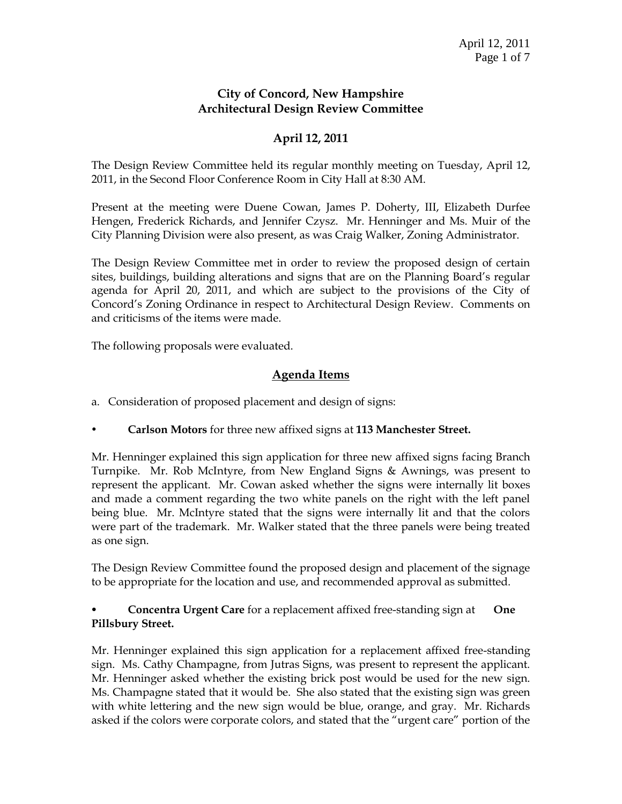## **City of Concord, New Hampshire Architectural Design Review Committee**

# **April 12, 2011**

The Design Review Committee held its regular monthly meeting on Tuesday, April 12, 2011, in the Second Floor Conference Room in City Hall at 8:30 AM.

Present at the meeting were Duene Cowan, James P. Doherty, III, Elizabeth Durfee Hengen, Frederick Richards, and Jennifer Czysz. Mr. Henninger and Ms. Muir of the City Planning Division were also present, as was Craig Walker, Zoning Administrator.

The Design Review Committee met in order to review the proposed design of certain sites, buildings, building alterations and signs that are on the Planning Board's regular agenda for April 20, 2011, and which are subject to the provisions of the City of Concord's Zoning Ordinance in respect to Architectural Design Review. Comments on and criticisms of the items were made.

The following proposals were evaluated.

## **Agenda Items**

- a. Consideration of proposed placement and design of signs:
- **Carlson Motors** for three new affixed signs at **113 Manchester Street.**

Mr. Henninger explained this sign application for three new affixed signs facing Branch Turnpike. Mr. Rob McIntyre, from New England Signs & Awnings, was present to represent the applicant. Mr. Cowan asked whether the signs were internally lit boxes and made a comment regarding the two white panels on the right with the left panel being blue. Mr. McIntyre stated that the signs were internally lit and that the colors were part of the trademark. Mr. Walker stated that the three panels were being treated as one sign.

The Design Review Committee found the proposed design and placement of the signage to be appropriate for the location and use, and recommended approval as submitted.

## **Concentra Urgent Care** for a replacement affixed free-standing sign at **One Pillsbury Street.**

Mr. Henninger explained this sign application for a replacement affixed free-standing sign. Ms. Cathy Champagne, from Jutras Signs, was present to represent the applicant. Mr. Henninger asked whether the existing brick post would be used for the new sign. Ms. Champagne stated that it would be. She also stated that the existing sign was green with white lettering and the new sign would be blue, orange, and gray. Mr. Richards asked if the colors were corporate colors, and stated that the "urgent care" portion of the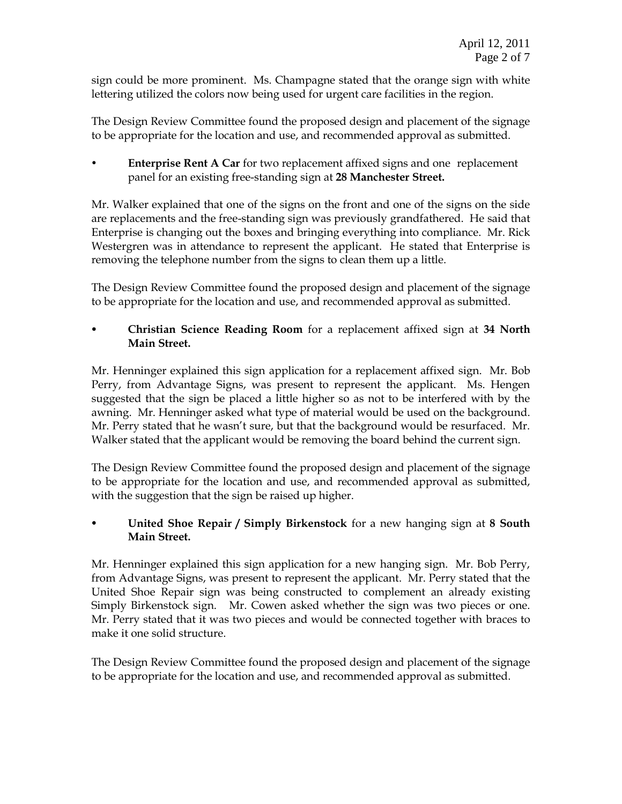sign could be more prominent. Ms. Champagne stated that the orange sign with white lettering utilized the colors now being used for urgent care facilities in the region.

The Design Review Committee found the proposed design and placement of the signage to be appropriate for the location and use, and recommended approval as submitted.

 **Enterprise Rent A Car** for two replacement affixed signs and one replacement panel for an existing free-standing sign at **28 Manchester Street.**

Mr. Walker explained that one of the signs on the front and one of the signs on the side are replacements and the free-standing sign was previously grandfathered. He said that Enterprise is changing out the boxes and bringing everything into compliance. Mr. Rick Westergren was in attendance to represent the applicant. He stated that Enterprise is removing the telephone number from the signs to clean them up a little.

The Design Review Committee found the proposed design and placement of the signage to be appropriate for the location and use, and recommended approval as submitted.

 **Christian Science Reading Room** for a replacement affixed sign at **34 North Main Street.**

Mr. Henninger explained this sign application for a replacement affixed sign. Mr. Bob Perry, from Advantage Signs, was present to represent the applicant. Ms. Hengen suggested that the sign be placed a little higher so as not to be interfered with by the awning. Mr. Henninger asked what type of material would be used on the background. Mr. Perry stated that he wasn't sure, but that the background would be resurfaced. Mr. Walker stated that the applicant would be removing the board behind the current sign.

The Design Review Committee found the proposed design and placement of the signage to be appropriate for the location and use, and recommended approval as submitted, with the suggestion that the sign be raised up higher.

 **United Shoe Repair / Simply Birkenstock** for a new hanging sign at **8 South Main Street.**

Mr. Henninger explained this sign application for a new hanging sign. Mr. Bob Perry, from Advantage Signs, was present to represent the applicant. Mr. Perry stated that the United Shoe Repair sign was being constructed to complement an already existing Simply Birkenstock sign. Mr. Cowen asked whether the sign was two pieces or one. Mr. Perry stated that it was two pieces and would be connected together with braces to make it one solid structure.

The Design Review Committee found the proposed design and placement of the signage to be appropriate for the location and use, and recommended approval as submitted.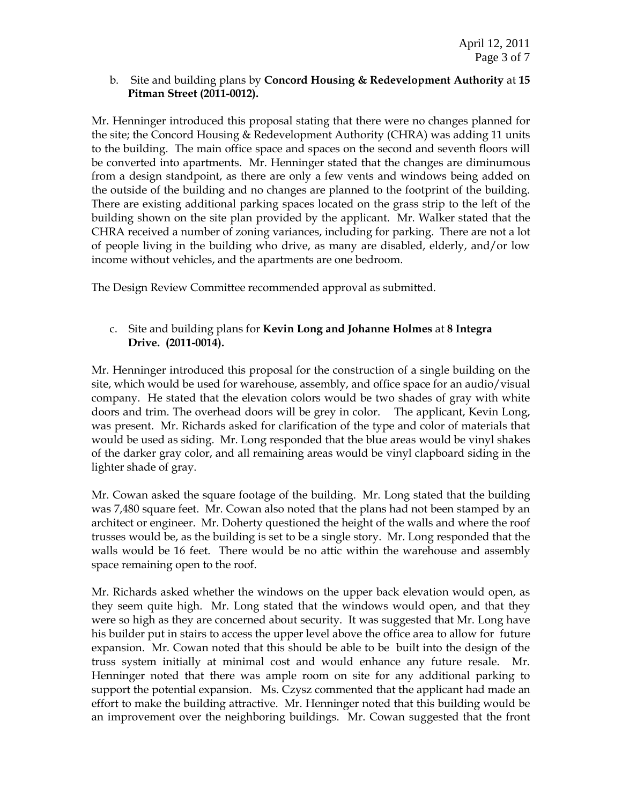#### b. Site and building plans by **Concord Housing & Redevelopment Authority** at **15 Pitman Street (2011-0012).**

Mr. Henninger introduced this proposal stating that there were no changes planned for the site; the Concord Housing & Redevelopment Authority (CHRA) was adding 11 units to the building. The main office space and spaces on the second and seventh floors will be converted into apartments. Mr. Henninger stated that the changes are diminumous from a design standpoint, as there are only a few vents and windows being added on the outside of the building and no changes are planned to the footprint of the building. There are existing additional parking spaces located on the grass strip to the left of the building shown on the site plan provided by the applicant. Mr. Walker stated that the CHRA received a number of zoning variances, including for parking. There are not a lot of people living in the building who drive, as many are disabled, elderly, and/or low income without vehicles, and the apartments are one bedroom.

The Design Review Committee recommended approval as submitted.

#### c. Site and building plans for **Kevin Long and Johanne Holmes** at **8 Integra Drive. (2011-0014).**

Mr. Henninger introduced this proposal for the construction of a single building on the site, which would be used for warehouse, assembly, and office space for an audio/visual company. He stated that the elevation colors would be two shades of gray with white doors and trim. The overhead doors will be grey in color. The applicant, Kevin Long, was present. Mr. Richards asked for clarification of the type and color of materials that would be used as siding. Mr. Long responded that the blue areas would be vinyl shakes of the darker gray color, and all remaining areas would be vinyl clapboard siding in the lighter shade of gray.

Mr. Cowan asked the square footage of the building. Mr. Long stated that the building was 7,480 square feet. Mr. Cowan also noted that the plans had not been stamped by an architect or engineer. Mr. Doherty questioned the height of the walls and where the roof trusses would be, as the building is set to be a single story. Mr. Long responded that the walls would be 16 feet. There would be no attic within the warehouse and assembly space remaining open to the roof.

Mr. Richards asked whether the windows on the upper back elevation would open, as they seem quite high. Mr. Long stated that the windows would open, and that they were so high as they are concerned about security. It was suggested that Mr. Long have his builder put in stairs to access the upper level above the office area to allow for future expansion. Mr. Cowan noted that this should be able to be built into the design of the truss system initially at minimal cost and would enhance any future resale. Mr. Henninger noted that there was ample room on site for any additional parking to support the potential expansion. Ms. Czysz commented that the applicant had made an effort to make the building attractive. Mr. Henninger noted that this building would be an improvement over the neighboring buildings. Mr. Cowan suggested that the front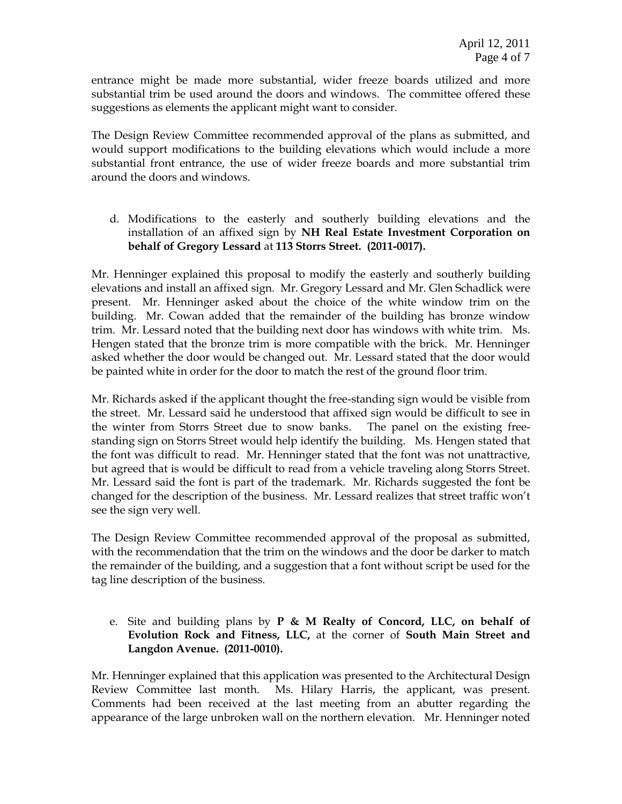entrance might be made more substantial, wider freeze boards utilized and more substantial trim be used around the doors and windows. The committee offered these suggestions as elements the applicant might want to consider.

The Design Review Committee recommended approval of the plans as submitted, and would support modifications to the building elevations which would include a more substantial front entrance, the use of wider freeze boards and more substantial trim around the doors and windows.

d. Modifications to the easterly and southerly building elevations and the installation of an affixed sign by **NH Real Estate Investment Corporation on behalf of Gregory Lessard** at **113 Storrs Street. (2011-0017).** 

Mr. Henninger explained this proposal to modify the easterly and southerly building elevations and install an affixed sign. Mr. Gregory Lessard and Mr. Glen Schadlick were present. Mr. Henninger asked about the choice of the white window trim on the building. Mr. Cowan added that the remainder of the building has bronze window trim. Mr. Lessard noted that the building next door has windows with white trim. Ms. Hengen stated that the bronze trim is more compatible with the brick. Mr. Henninger asked whether the door would be changed out. Mr. Lessard stated that the door would be painted white in order for the door to match the rest of the ground floor trim.

Mr. Richards asked if the applicant thought the free-standing sign would be visible from the street. Mr. Lessard said he understood that affixed sign would be difficult to see in the winter from Storrs Street due to snow banks. The panel on the existing freestanding sign on Storrs Street would help identify the building. Ms. Hengen stated that the font was difficult to read. Mr. Henninger stated that the font was not unattractive, but agreed that is would be difficult to read from a vehicle traveling along Storrs Street. Mr. Lessard said the font is part of the trademark. Mr. Richards suggested the font be changed for the description of the business. Mr. Lessard realizes that street traffic won't see the sign very well.

The Design Review Committee recommended approval of the proposal as submitted, with the recommendation that the trim on the windows and the door be darker to match the remainder of the building, and a suggestion that a font without script be used for the tag line description of the business.

e. Site and building plans by **P & M Realty of Concord, LLC, on behalf of Evolution Rock and Fitness, LLC,** at the corner of **South Main Street and Langdon Avenue. (2011-0010).** 

Mr. Henninger explained that this application was presented to the Architectural Design Review Committee last month. Ms. Hilary Harris, the applicant, was present. Comments had been received at the last meeting from an abutter regarding the appearance of the large unbroken wall on the northern elevation. Mr. Henninger noted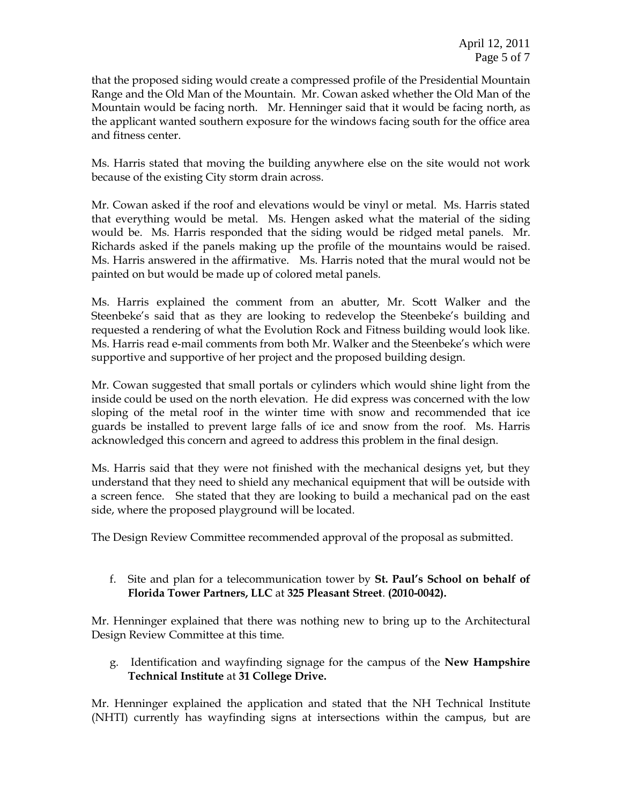that the proposed siding would create a compressed profile of the Presidential Mountain Range and the Old Man of the Mountain. Mr. Cowan asked whether the Old Man of the Mountain would be facing north. Mr. Henninger said that it would be facing north, as the applicant wanted southern exposure for the windows facing south for the office area and fitness center.

Ms. Harris stated that moving the building anywhere else on the site would not work because of the existing City storm drain across.

Mr. Cowan asked if the roof and elevations would be vinyl or metal. Ms. Harris stated that everything would be metal. Ms. Hengen asked what the material of the siding would be. Ms. Harris responded that the siding would be ridged metal panels. Mr. Richards asked if the panels making up the profile of the mountains would be raised. Ms. Harris answered in the affirmative. Ms. Harris noted that the mural would not be painted on but would be made up of colored metal panels.

Ms. Harris explained the comment from an abutter, Mr. Scott Walker and the Steenbeke's said that as they are looking to redevelop the Steenbeke's building and requested a rendering of what the Evolution Rock and Fitness building would look like. Ms. Harris read e-mail comments from both Mr. Walker and the Steenbeke's which were supportive and supportive of her project and the proposed building design.

Mr. Cowan suggested that small portals or cylinders which would shine light from the inside could be used on the north elevation. He did express was concerned with the low sloping of the metal roof in the winter time with snow and recommended that ice guards be installed to prevent large falls of ice and snow from the roof. Ms. Harris acknowledged this concern and agreed to address this problem in the final design.

Ms. Harris said that they were not finished with the mechanical designs yet, but they understand that they need to shield any mechanical equipment that will be outside with a screen fence. She stated that they are looking to build a mechanical pad on the east side, where the proposed playground will be located.

The Design Review Committee recommended approval of the proposal as submitted.

f. Site and plan for a telecommunication tower by **St. Paul's School on behalf of Florida Tower Partners, LLC** at **325 Pleasant Street**. **(2010-0042).**

Mr. Henninger explained that there was nothing new to bring up to the Architectural Design Review Committee at this time.

g. Identification and wayfinding signage for the campus of the **New Hampshire Technical Institute** at **31 College Drive.** 

Mr. Henninger explained the application and stated that the NH Technical Institute (NHTI) currently has wayfinding signs at intersections within the campus, but are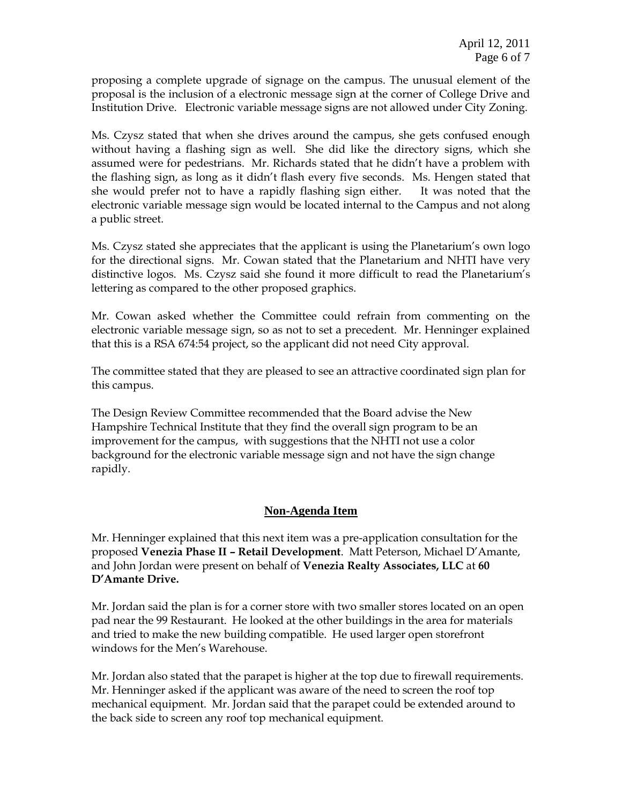proposing a complete upgrade of signage on the campus. The unusual element of the proposal is the inclusion of a electronic message sign at the corner of College Drive and Institution Drive. Electronic variable message signs are not allowed under City Zoning.

Ms. Czysz stated that when she drives around the campus, she gets confused enough without having a flashing sign as well. She did like the directory signs, which she assumed were for pedestrians. Mr. Richards stated that he didn't have a problem with the flashing sign, as long as it didn't flash every five seconds. Ms. Hengen stated that she would prefer not to have a rapidly flashing sign either. It was noted that the electronic variable message sign would be located internal to the Campus and not along a public street.

Ms. Czysz stated she appreciates that the applicant is using the Planetarium's own logo for the directional signs. Mr. Cowan stated that the Planetarium and NHTI have very distinctive logos. Ms. Czysz said she found it more difficult to read the Planetarium's lettering as compared to the other proposed graphics.

Mr. Cowan asked whether the Committee could refrain from commenting on the electronic variable message sign, so as not to set a precedent. Mr. Henninger explained that this is a RSA 674:54 project, so the applicant did not need City approval.

The committee stated that they are pleased to see an attractive coordinated sign plan for this campus.

The Design Review Committee recommended that the Board advise the New Hampshire Technical Institute that they find the overall sign program to be an improvement for the campus, with suggestions that the NHTI not use a color background for the electronic variable message sign and not have the sign change rapidly.

## **Non-Agenda Item**

Mr. Henninger explained that this next item was a pre-application consultation for the proposed **Venezia Phase II – Retail Development**. Matt Peterson, Michael D'Amante, and John Jordan were present on behalf of **Venezia Realty Associates, LLC** at **60 D'Amante Drive.** 

Mr. Jordan said the plan is for a corner store with two smaller stores located on an open pad near the 99 Restaurant. He looked at the other buildings in the area for materials and tried to make the new building compatible. He used larger open storefront windows for the Men's Warehouse.

Mr. Jordan also stated that the parapet is higher at the top due to firewall requirements. Mr. Henninger asked if the applicant was aware of the need to screen the roof top mechanical equipment. Mr. Jordan said that the parapet could be extended around to the back side to screen any roof top mechanical equipment.